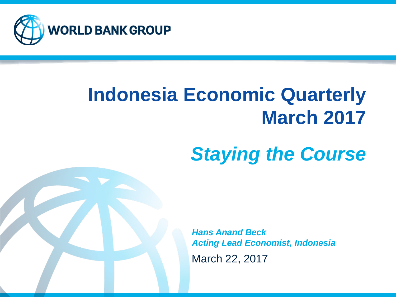

# **Indonesia Economic Quarterly March 2017**

# *Staying the Course*

March 22, 2017 *Hans Anand Beck Acting Lead Economist, Indonesia*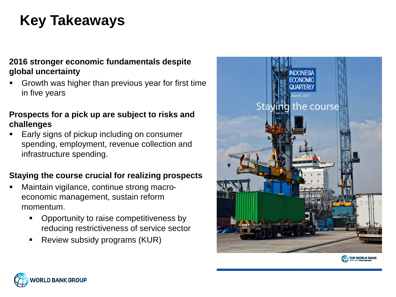## **Key Takeaways**

#### **2016 stronger economic fundamentals despite global uncertainty**

 Growth was higher than previous year for first time in five years

#### **Prospects for a pick up are subject to risks and challenges**

 Early signs of pickup including on consumer spending, employment, revenue collection and infrastructure spending.

#### **Staying the course crucial for realizing prospects**

- Maintain vigilance, continue strong macroeconomic management, sustain reform momentum.
	- Opportunity to raise competitiveness by reducing restrictiveness of service sector
	- **Review subsidy programs (KUR)**





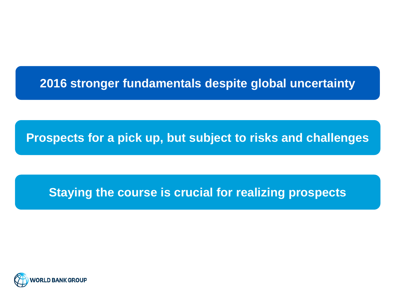#### **2016 stronger fundamentals despite global uncertainty**

**Prospects for a pick up, but subject to risks and challenges**

#### **Staying the course is crucial for realizing prospects**

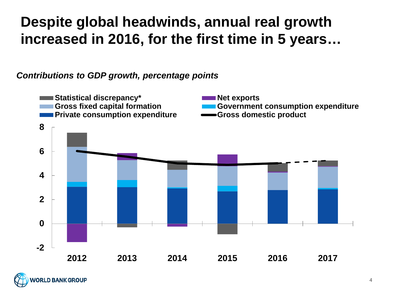### **Despite global headwinds, annual real growth increased in 2016, for the first time in 5 years…**

#### *Contributions to GDP growth, percentage points*



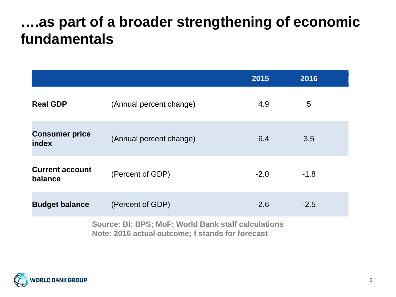#### **….as part of a broader strengthening of economic fundamentals**

|                                   |                                                     | 2015   | 2016   |  |
|-----------------------------------|-----------------------------------------------------|--------|--------|--|
| <b>Real GDP</b>                   | (Annual percent change)                             | 4.9    | 5      |  |
| <b>Consumer price</b><br>index    | (Annual percent change)                             | 6.4    | 3.5    |  |
| <b>Current account</b><br>balance | (Percent of GDP)                                    | $-2.0$ | $-1.8$ |  |
| <b>Budget balance</b>             | (Percent of GDP)                                    | $-2.6$ | $-2.5$ |  |
|                                   | Source: BI: BPS; MoF; World Bank staff calculations |        |        |  |

**Note: 2016 actual outcome; f stands for forecast** 

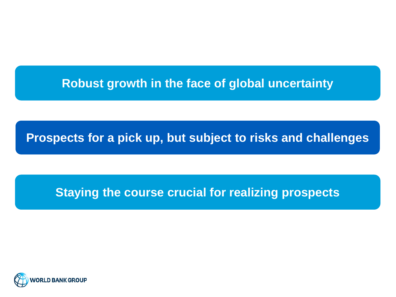#### **Robust growth in the face of global uncertainty**

**Prospects for a pick up, but subject to risks and challenges**

#### **Staying the course crucial for realizing prospects**

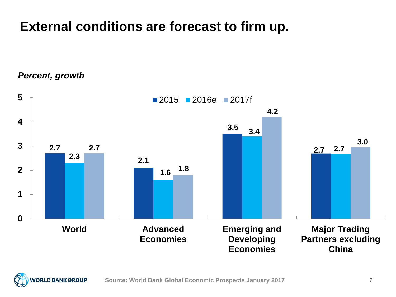#### **External conditions are forecast to firm up.**

*Percent, growth*



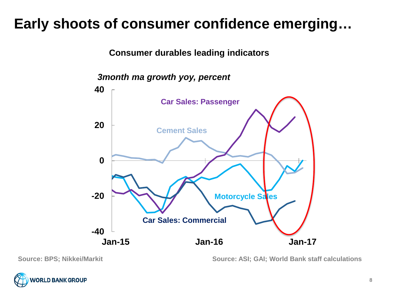### **Early shoots of consumer confidence emerging…**

**Consumer durables leading indicators**





**Source: BPS; Nikkei/Markit Source: ASI; GAI; World Bank staff calculations**

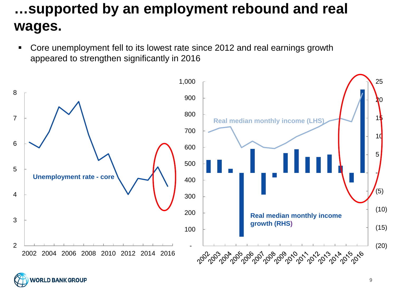### **…supported by an employment rebound and real wages.**

 Core unemployment fell to its lowest rate since 2012 and real earnings growth appeared to strengthen significantly in 2016



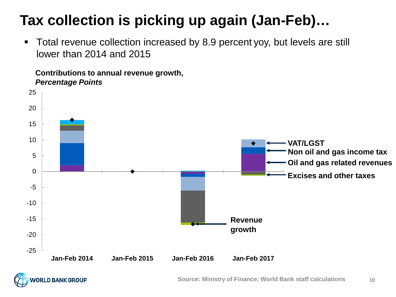## **Tax collection is picking up again (Jan-Feb)…**

 Total revenue collection increased by 8.9 percent yoy, but levels are still lower than 2014 and 2015

**Contributions to annual revenue growth,**  *Percentage Points*



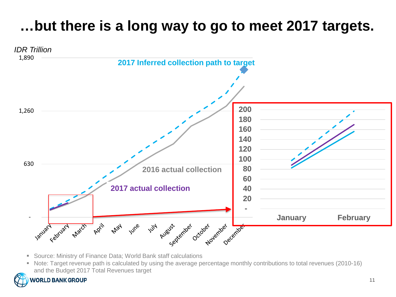## **…but there is a long way to go to meet 2017 targets.**



- Source: Ministry of Finance Data; World Bank staff calculations
- Note: Target revenue path is calculated by using the average percentage monthly contributions to total revenues (2010-16) and the Budget 2017 Total Revenues target

#### **ORLD BANK GROUP**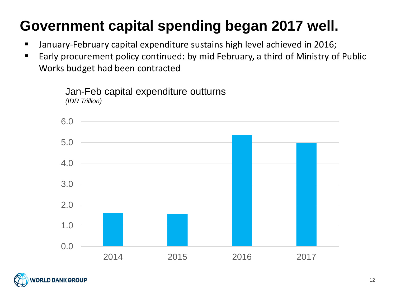## **Government capital spending began 2017 well.**

- January-February capital expenditure sustains high level achieved in 2016;
- Early procurement policy continued: by mid February, a third of Ministry of Public Works budget had been contracted



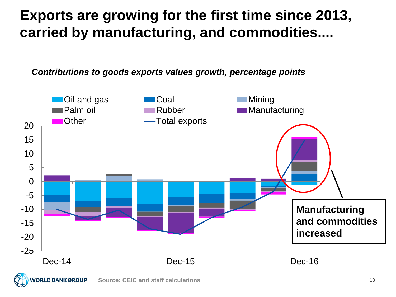### **Exports are growing for the first time since 2013, carried by manufacturing, and commodities....**

*Contributions to goods exports values growth, percentage points*



**Source: CEIC and staff calculations**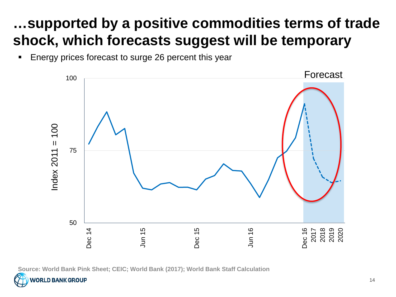## **…supported by a positive commodities terms of trade shock, which forecasts suggest will be temporary**

**Energy prices forecast to surge 26 percent this year** 



**Source: World Bank Pink Sheet; CEIC; World Bank (2017); World Bank Staff Calculation**

**RLD BANK GROUP**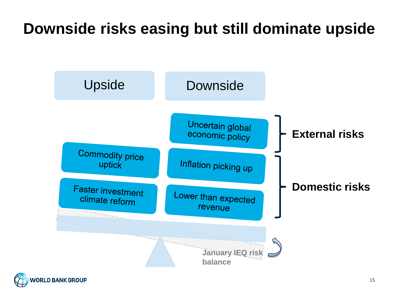## **Downside risks easing but still dominate upside**



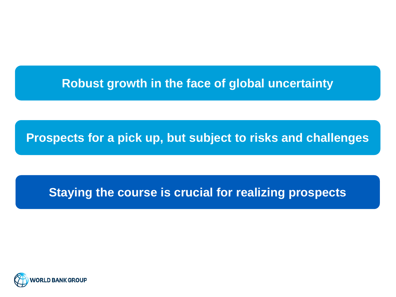#### **Robust growth in the face of global uncertainty**

**Prospects for a pick up, but subject to risks and challenges**

#### **Staying the course is crucial for realizing prospects**

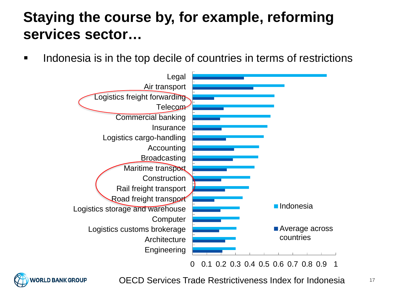### **Staying the course by, for example, reforming services sector…**

If all indonesia is in the top decile of countries in terms of restrictions





OECD Services Trade Restrictiveness Index for Indonesia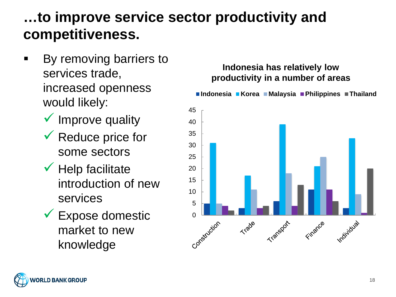### **…to improve service sector productivity and competitiveness.**

- By removing barriers to services trade, increased openness would likely:
	- $\checkmark$  Improve quality
	- $\sqrt{\ }$  Reduce price for some sectors
	- $\checkmark$  Help facilitate introduction of new services
	- Expose domestic market to new knowledge

#### **Indonesia has relatively low productivity in a number of areasIndonesia Korea Malaysia Philippines Thailand** 45 40 35 30 25 20 15 10 5 Construction Trade Transport Finance individual

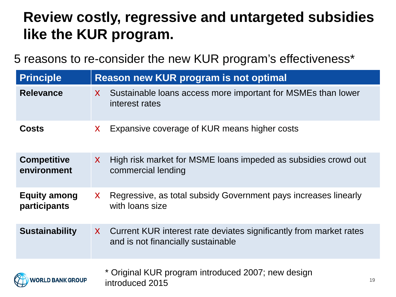### **Review costly, regressive and untargeted subsidies like the KUR program.**

5 reasons to re-consider the new KUR program's effectiveness\*

| <b>Principle</b>                           | <b>Reason new KUR program is not optimal</b>                                                               |  |
|--------------------------------------------|------------------------------------------------------------------------------------------------------------|--|
| <b>Relevance</b>                           | Sustainable loans access more important for MSMEs than lower<br>$\mathsf{X}$<br>interest rates             |  |
| <b>Costs</b>                               | Expansive coverage of KUR means higher costs<br>$\mathsf{X}$                                               |  |
| <b>Competitive</b><br>environment          | High risk market for MSME loans impeded as subsidies crowd out<br>$\mathsf{X}$<br>commercial lending       |  |
| <b>Equity among</b><br><b>participants</b> | Regressive, as total subsidy Government pays increases linearly<br>$\mathsf{X}$<br>with loans size         |  |
| <b>Sustainability</b>                      | X Current KUR interest rate deviates significantly from market rates<br>and is not financially sustainable |  |
| <b>WORLD BANK GROUP</b>                    | * Original KUR program introduced 2007; new design<br>19<br>introduced 2015                                |  |